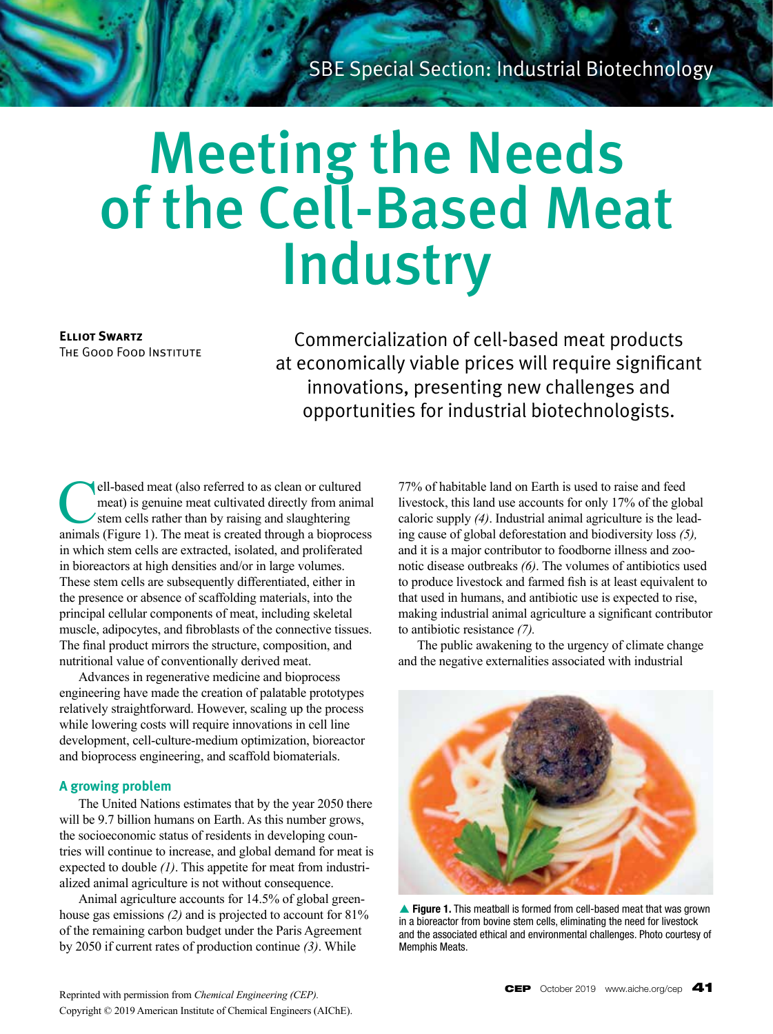# Meeting the Needs of the Cell-Based Meat **Industry**

**Elliot Swartz** The Good Food Institute

Commercialization of cell-based meat products at economically viable prices will require significant innovations, presenting new challenges and opportunities for industrial biotechnologists.

ell-based meat (also referred to as clean or cultured meat) is genuine meat cultivated directly from animal stem cells rather than by raising and slaughtering animals (Figure 1). The meat is created through a bioprocess in which stem cells are extracted, isolated, and proliferated in bioreactors at high densities and/or in large volumes. These stem cells are subsequently differentiated, either in the presence or absence of scaffolding materials, into the principal cellular components of meat, including skeletal muscle, adipocytes, and fibroblasts of the connective tissues. The final product mirrors the structure, composition, and nutritional value of conventionally derived meat.

Advances in regenerative medicine and bioprocess engineering have made the creation of palatable prototypes relatively straightforward. However, scaling up the process while lowering costs will require innovations in cell line development, cell-culture-medium optimization, bioreactor and bioprocess engineering, and scaffold biomaterials.

# **A growing problem**

The United Nations estimates that by the year 2050 there will be 9.7 billion humans on Earth. As this number grows, the socioeconomic status of residents in developing countries will continue to increase, and global demand for meat is expected to double *(1)*. This appetite for meat from industrialized animal agriculture is not without consequence.

Animal agriculture accounts for 14.5% of global greenhouse gas emissions *(2)* and is projected to account for 81% of the remaining carbon budget under the Paris Agreement by 2050 if current rates of production continue *(3)*. While

77% of habitable land on Earth is used to raise and feed livestock, this land use accounts for only 17% of the global caloric supply *(4)*. Industrial animal agriculture is the leading cause of global deforestation and biodiversity loss *(5),*  and it is a major contributor to foodborne illness and zoonotic disease outbreaks *(6)*. The volumes of antibiotics used to produce livestock and farmed fish is at least equivalent to that used in humans, and antibiotic use is expected to rise, making industrial animal agriculture a significant contributor to antibiotic resistance *(7).*

The public awakening to the urgency of climate change and the negative externalities associated with industrial



▲ Figure 1. This meatball is formed from cell-based meat that was grown in a bioreactor from bovine stem cells, eliminating the need for livestock and the associated ethical and environmental challenges. Photo courtesy of Memphis Meats.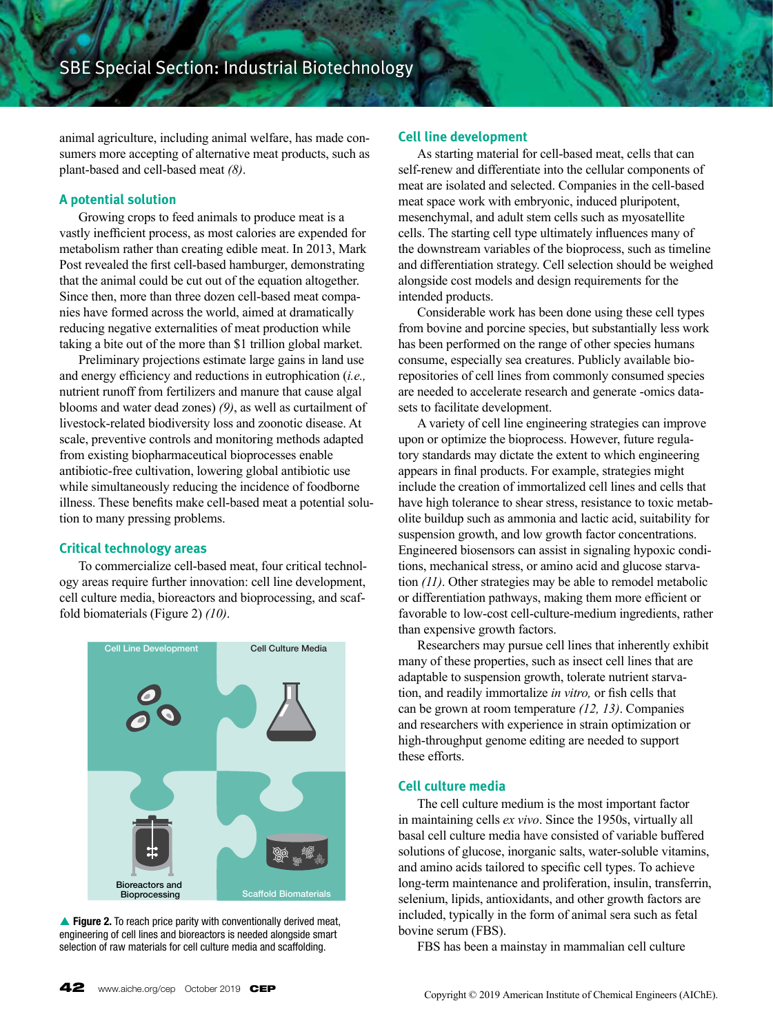animal agriculture, including animal welfare, has made consumers more accepting of alternative meat products, such as plant-based and cell-based meat *(8)*.

## **A potential solution**

Growing crops to feed animals to produce meat is a vastly inefficient process, as most calories are expended for metabolism rather than creating edible meat. In 2013, Mark Post revealed the first cell-based hamburger, demonstrating that the animal could be cut out of the equation altogether. Since then, more than three dozen cell-based meat companies have formed across the world, aimed at dramatically reducing negative externalities of meat production while taking a bite out of the more than \$1 trillion global market.

Preliminary projections estimate large gains in land use and energy efficiency and reductions in eutrophication (*i.e.,*  nutrient runoff from fertilizers and manure that cause algal blooms and water dead zones) *(9)*, as well as curtailment of livestock-related biodiversity loss and zoonotic disease. At scale, preventive controls and monitoring methods adapted from existing biopharmaceutical bioprocesses enable antibiotic-free cultivation, lowering global antibiotic use while simultaneously reducing the incidence of foodborne illness. These benefits make cell-based meat a potential solution to many pressing problems.

## **Critical technology areas**

To commercialize cell-based meat, four critical technology areas require further innovation: cell line development, cell culture media, bioreactors and bioprocessing, and scaffold biomaterials (Figure 2) *(10)*.



▲ Figure 2. To reach price parity with conventionally derived meat, engineering of cell lines and bioreactors is needed alongside smart selection of raw materials for cell culture media and scaffolding.

### **Cell line development**

As starting material for cell-based meat, cells that can self-renew and differentiate into the cellular components of meat are isolated and selected. Companies in the cell-based meat space work with embryonic, induced pluripotent, mesenchymal, and adult stem cells such as myosatellite cells. The starting cell type ultimately influences many of the downstream variables of the bioprocess, such as timeline and differentiation strategy. Cell selection should be weighed alongside cost models and design requirements for the intended products.

Considerable work has been done using these cell types from bovine and porcine species, but substantially less work has been performed on the range of other species humans consume, especially sea creatures. Publicly available biorepositories of cell lines from commonly consumed species are needed to accelerate research and generate -omics datasets to facilitate development.

A variety of cell line engineering strategies can improve upon or optimize the bioprocess. However, future regulatory standards may dictate the extent to which engineering appears in final products. For example, strategies might include the creation of immortalized cell lines and cells that have high tolerance to shear stress, resistance to toxic metabolite buildup such as ammonia and lactic acid, suitability for suspension growth, and low growth factor concentrations. Engineered biosensors can assist in signaling hypoxic conditions, mechanical stress, or amino acid and glucose starvation *(11)*. Other strategies may be able to remodel metabolic or differentiation pathways, making them more efficient or favorable to low-cost cell-culture-medium ingredients, rather than expensive growth factors.

Researchers may pursue cell lines that inherently exhibit many of these properties, such as insect cell lines that are adaptable to suspension growth, tolerate nutrient starvation, and readily immortalize *in vitro,* or fish cells that can be grown at room temperature *(12, 13)*. Companies and researchers with experience in strain optimization or high-throughput genome editing are needed to support these efforts.

## **Cell culture media**

The cell culture medium is the most important factor in maintaining cells *ex vivo*. Since the 1950s, virtually all basal cell culture media have consisted of variable buffered solutions of glucose, inorganic salts, water-soluble vitamins, and amino acids tailored to specific cell types. To achieve long-term maintenance and proliferation, insulin, transferrin, selenium, lipids, antioxidants, and other growth factors are included, typically in the form of animal sera such as fetal bovine serum (FBS).

FBS has been a mainstay in mammalian cell culture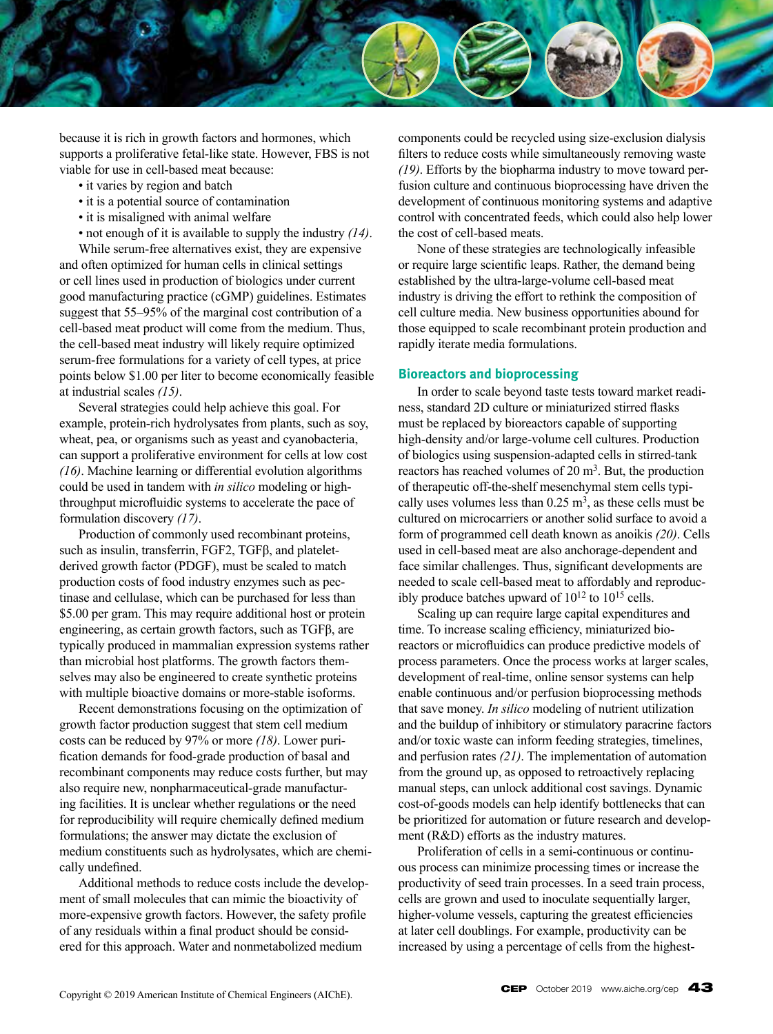

because it is rich in growth factors and hormones, which supports a proliferative fetal-like state. However, FBS is not viable for use in cell-based meat because:

- it varies by region and batch
- it is a potential source of contamination
- it is misaligned with animal welfare

• not enough of it is available to supply the industry *(14)*.

While serum-free alternatives exist, they are expensive and often optimized for human cells in clinical settings or cell lines used in production of biologics under current good manufacturing practice (cGMP) guidelines. Estimates suggest that 55–95% of the marginal cost contribution of a cell-based meat product will come from the medium. Thus, the cell-based meat industry will likely require optimized serum-free formulations for a variety of cell types, at price points below \$1.00 per liter to become economically feasible at industrial scales *(15)*.

Several strategies could help achieve this goal. For example, protein-rich hydrolysates from plants, such as soy, wheat, pea, or organisms such as yeast and cyanobacteria, can support a proliferative environment for cells at low cost *(16)*. Machine learning or differential evolution algorithms could be used in tandem with *in silico* modeling or highthroughput microfluidic systems to accelerate the pace of formulation discovery *(17)*.

Production of commonly used recombinant proteins, such as insulin, transferrin, FGF2, TGFβ, and plateletderived growth factor (PDGF), must be scaled to match production costs of food industry enzymes such as pectinase and cellulase, which can be purchased for less than \$5.00 per gram. This may require additional host or protein engineering, as certain growth factors, such as TGFβ, are typically produced in mammalian expression systems rather than microbial host platforms. The growth factors themselves may also be engineered to create synthetic proteins with multiple bioactive domains or more-stable isoforms.

Recent demonstrations focusing on the optimization of growth factor production suggest that stem cell medium costs can be reduced by 97% or more *(18)*. Lower purification demands for food-grade production of basal and recombinant components may reduce costs further, but may also require new, nonpharmaceutical-grade manufacturing facilities. It is unclear whether regulations or the need for reproducibility will require chemically defined medium formulations; the answer may dictate the exclusion of medium constituents such as hydrolysates, which are chemically undefined.

Additional methods to reduce costs include the development of small molecules that can mimic the bioactivity of more-expensive growth factors. However, the safety profile of any residuals within a final product should be considered for this approach. Water and nonmetabolized medium

components could be recycled using size-exclusion dialysis filters to reduce costs while simultaneously removing waste *(19)*. Efforts by the biopharma industry to move toward perfusion culture and continuous bioprocessing have driven the development of continuous monitoring systems and adaptive control with concentrated feeds, which could also help lower the cost of cell-based meats.

None of these strategies are technologically infeasible or require large scientific leaps. Rather, the demand being established by the ultra-large-volume cell-based meat industry is driving the effort to rethink the composition of cell culture media. New business opportunities abound for those equipped to scale recombinant protein production and rapidly iterate media formulations.

#### **Bioreactors and bioprocessing**

In order to scale beyond taste tests toward market readiness, standard 2D culture or miniaturized stirred flasks must be replaced by bioreactors capable of supporting high-density and/or large-volume cell cultures. Production of biologics using suspension-adapted cells in stirred-tank reactors has reached volumes of 20 m<sup>3</sup>. But, the production of therapeutic off-the-shelf mesenchymal stem cells typically uses volumes less than  $0.25 \text{ m}^3$ , as these cells must be cultured on microcarriers or another solid surface to avoid a form of programmed cell death known as anoikis *(20)*. Cells used in cell-based meat are also anchorage-dependent and face similar challenges. Thus, significant developments are needed to scale cell-based meat to affordably and reproducibly produce batches upward of  $10^{12}$  to  $10^{15}$  cells.

Scaling up can require large capital expenditures and time. To increase scaling efficiency, miniaturized bioreactors or microfluidics can produce predictive models of process parameters. Once the process works at larger scales, development of real-time, online sensor systems can help enable continuous and/or perfusion bioprocessing methods that save money. *In silico* modeling of nutrient utilization and the buildup of inhibitory or stimulatory paracrine factors and/or toxic waste can inform feeding strategies, timelines, and perfusion rates *(21)*. The implementation of automation from the ground up, as opposed to retroactively replacing manual steps, can unlock additional cost savings. Dynamic cost-of-goods models can help identify bottlenecks that can be prioritized for automation or future research and development (R&D) efforts as the industry matures.

Proliferation of cells in a semi-continuous or continuous process can minimize processing times or increase the productivity of seed train processes. In a seed train process, cells are grown and used to inoculate sequentially larger, higher-volume vessels, capturing the greatest efficiencies at later cell doublings. For example, productivity can be increased by using a percentage of cells from the highest-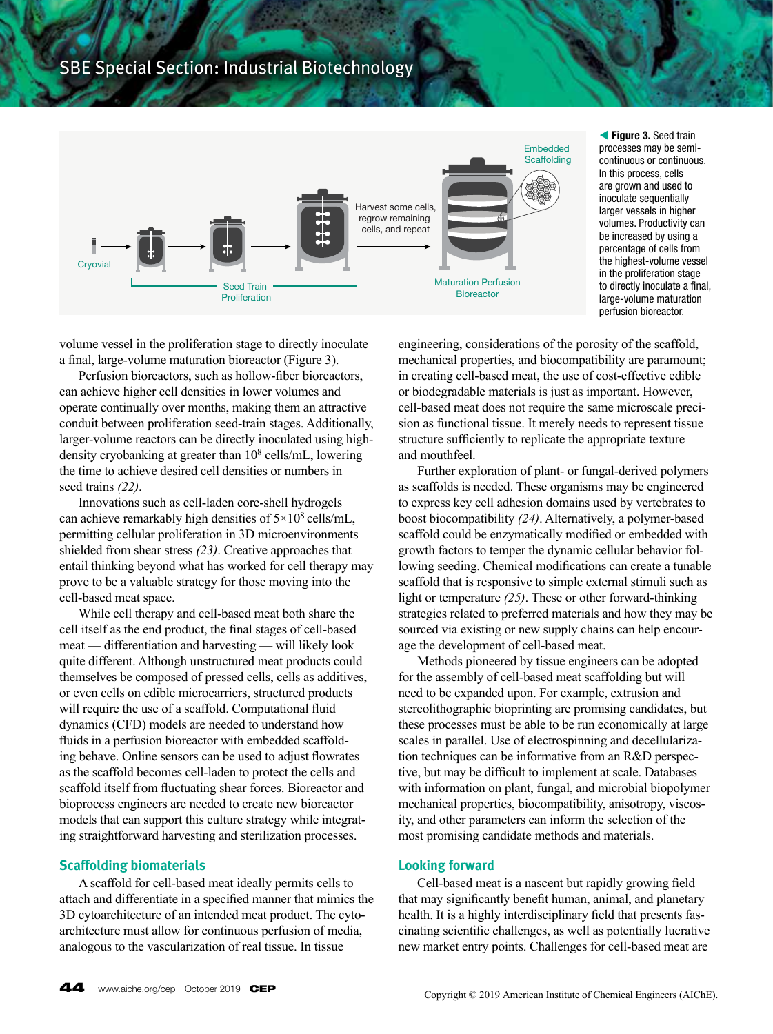

**figure 3. Seed train** processes may be semicontinuous or continuous. In this process, cells are grown and used to inoculate sequentially larger vessels in higher volumes. Productivity can be increased by using a percentage of cells from the highest-volume vessel in the proliferation stage to directly inoculate a final, large-volume maturation perfusion bioreactor.

volume vessel in the proliferation stage to directly inoculate a final, large-volume maturation bioreactor (Figure 3).

Perfusion bioreactors, such as hollow-fiber bioreactors, can achieve higher cell densities in lower volumes and operate continually over months, making them an attractive conduit between proliferation seed-train stages. Additionally, larger-volume reactors can be directly inoculated using highdensity cryobanking at greater than  $10^8$  cells/mL, lowering the time to achieve desired cell densities or numbers in seed trains *(22)*.

Innovations such as cell-laden core-shell hydrogels can achieve remarkably high densities of  $5 \times 10^8$  cells/mL, permitting cellular proliferation in 3D microenvironments shielded from shear stress *(23)*. Creative approaches that entail thinking beyond what has worked for cell therapy may prove to be a valuable strategy for those moving into the cell-based meat space.

While cell therapy and cell-based meat both share the cell itself as the end product, the final stages of cell-based meat — differentiation and harvesting — will likely look quite different. Although unstructured meat products could themselves be composed of pressed cells, cells as additives, or even cells on edible microcarriers, structured products will require the use of a scaffold. Computational fluid dynamics (CFD) models are needed to understand how fluids in a perfusion bioreactor with embedded scaffolding behave. Online sensors can be used to adjust flowrates as the scaffold becomes cell-laden to protect the cells and scaffold itself from fluctuating shear forces. Bioreactor and bioprocess engineers are needed to create new bioreactor models that can support this culture strategy while integrating straightforward harvesting and sterilization processes.

## **Scaffolding biomaterials**

A scaffold for cell-based meat ideally permits cells to attach and differentiate in a specified manner that mimics the 3D cytoarchitecture of an intended meat product. The cytoarchitecture must allow for continuous perfusion of media, analogous to the vascularization of real tissue. In tissue

engineering, considerations of the porosity of the scaffold, mechanical properties, and biocompatibility are paramount; in creating cell-based meat, the use of cost-effective edible or biodegradable materials is just as important. However, cell-based meat does not require the same microscale precision as functional tissue. It merely needs to represent tissue structure sufficiently to replicate the appropriate texture and mouthfeel.

Further exploration of plant- or fungal-derived polymers as scaffolds is needed. These organisms may be engineered to express key cell adhesion domains used by vertebrates to boost biocompatibility *(24)*. Alternatively, a polymer-based scaffold could be enzymatically modified or embedded with growth factors to temper the dynamic cellular behavior following seeding. Chemical modifications can create a tunable scaffold that is responsive to simple external stimuli such as light or temperature *(25)*. These or other forward-thinking strategies related to preferred materials and how they may be sourced via existing or new supply chains can help encourage the development of cell-based meat.

Methods pioneered by tissue engineers can be adopted for the assembly of cell-based meat scaffolding but will need to be expanded upon. For example, extrusion and stereolithographic bioprinting are promising candidates, but these processes must be able to be run economically at large scales in parallel. Use of electrospinning and decellularization techniques can be informative from an R&D perspective, but may be difficult to implement at scale. Databases with information on plant, fungal, and microbial biopolymer mechanical properties, biocompatibility, anisotropy, viscosity, and other parameters can inform the selection of the most promising candidate methods and materials.

#### **Looking forward**

Cell-based meat is a nascent but rapidly growing field that may significantly benefit human, animal, and planetary health. It is a highly interdisciplinary field that presents fascinating scientific challenges, as well as potentially lucrative new market entry points. Challenges for cell-based meat are